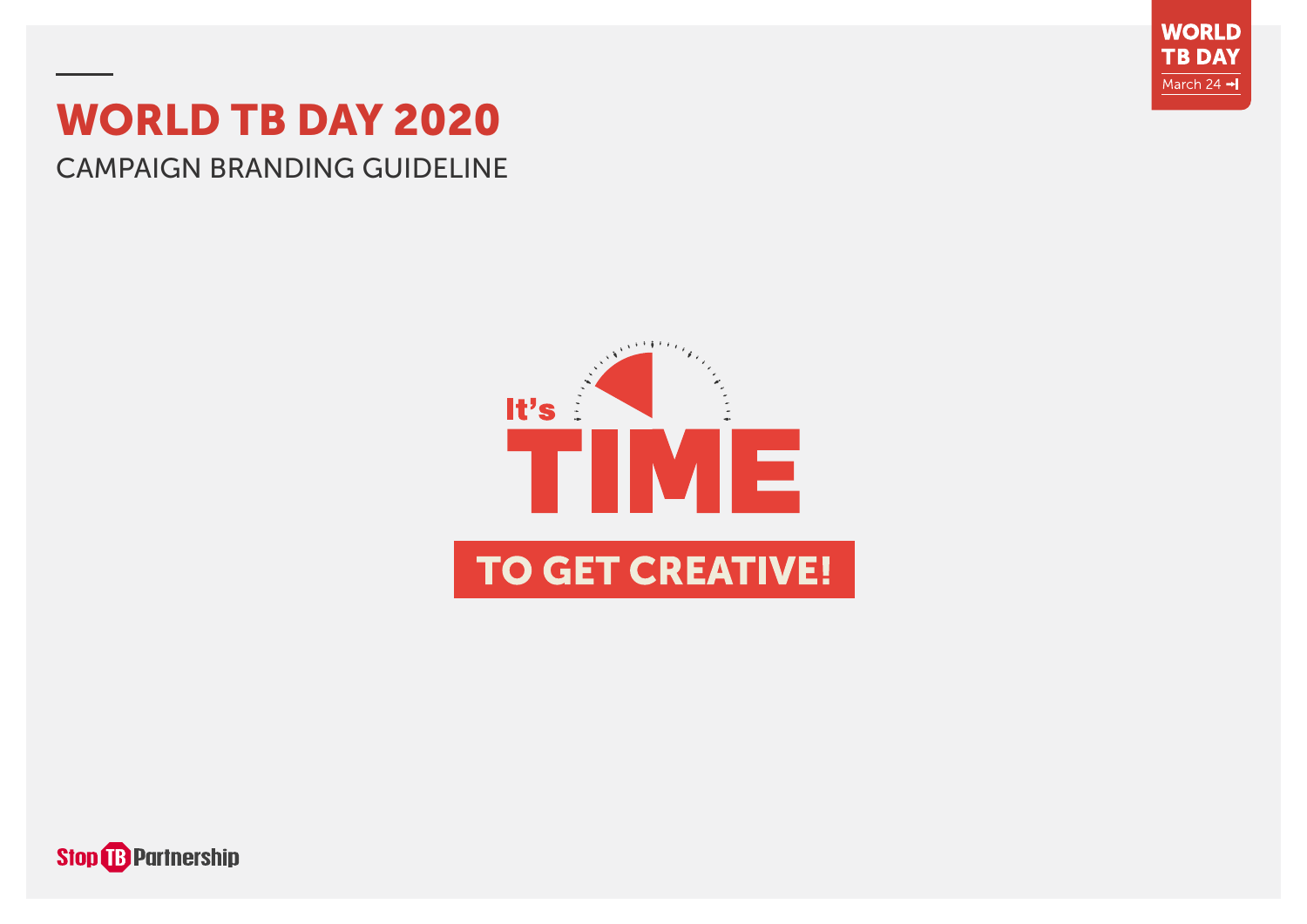

# WORLD TB DAY 2020

# CAMPAIGN BRANDING GUIDELINE



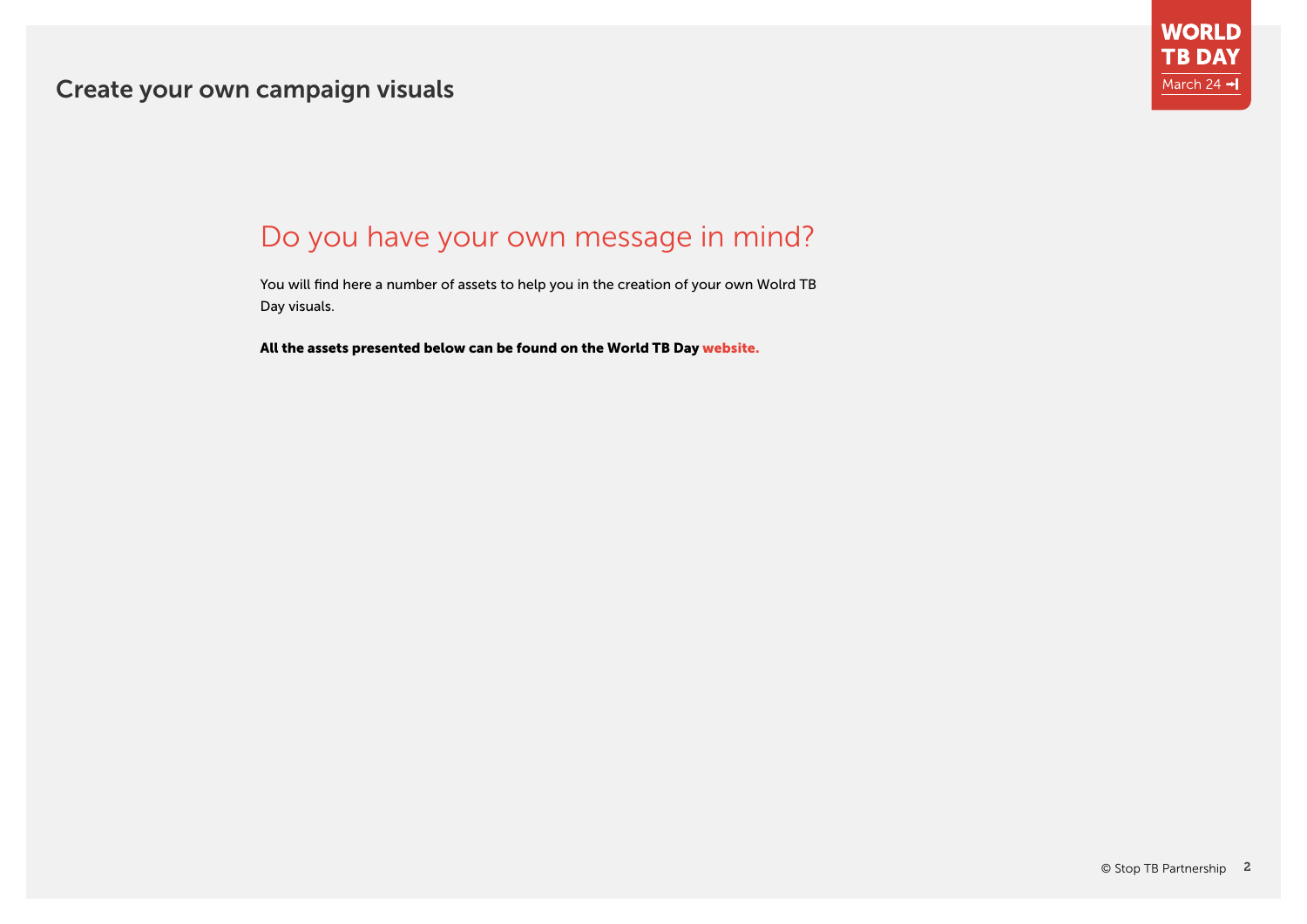

# Do you have your own message in mind?

You will find here a number of assets to help you in the creation of your own Wolrd TB Day visuals.

All the assets presented below can be found on the World TB Day [website.](http://stoptb.org/events/world_tb_day/2020/)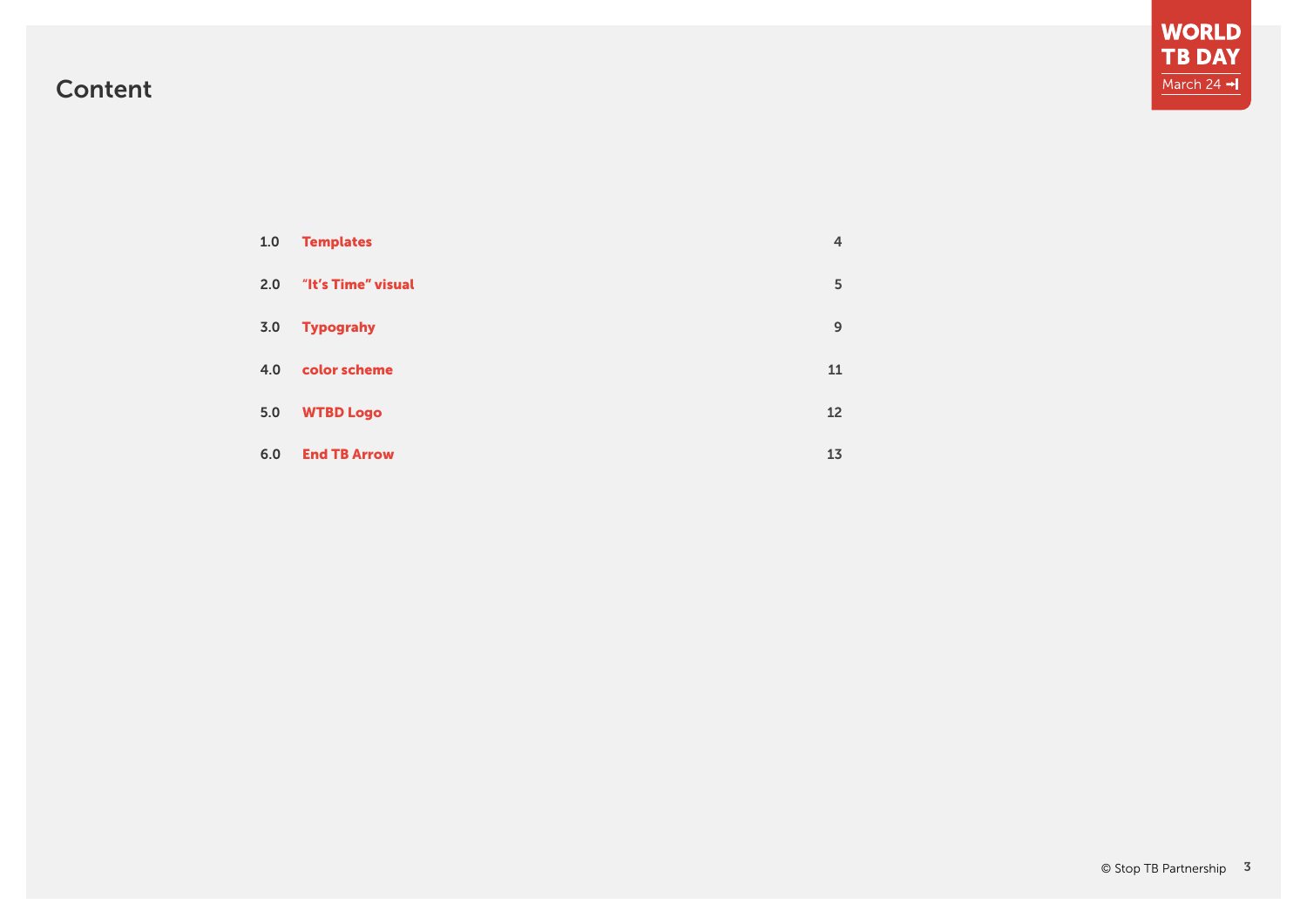# **WORLD<br>TB DAY** March 24  $\rightarrow$

# Content

| $1.0$ | <b>Templates</b>    | 4  |
|-------|---------------------|----|
| 2.0   | "It's Time" visual  | 5  |
| 3.0   | <b>Typograhy</b>    | 9  |
| 4.0   | color scheme        | 11 |
| 5.0   | <b>WTBD Logo</b>    | 12 |
| 6.0   | <b>End TB Arrow</b> | 13 |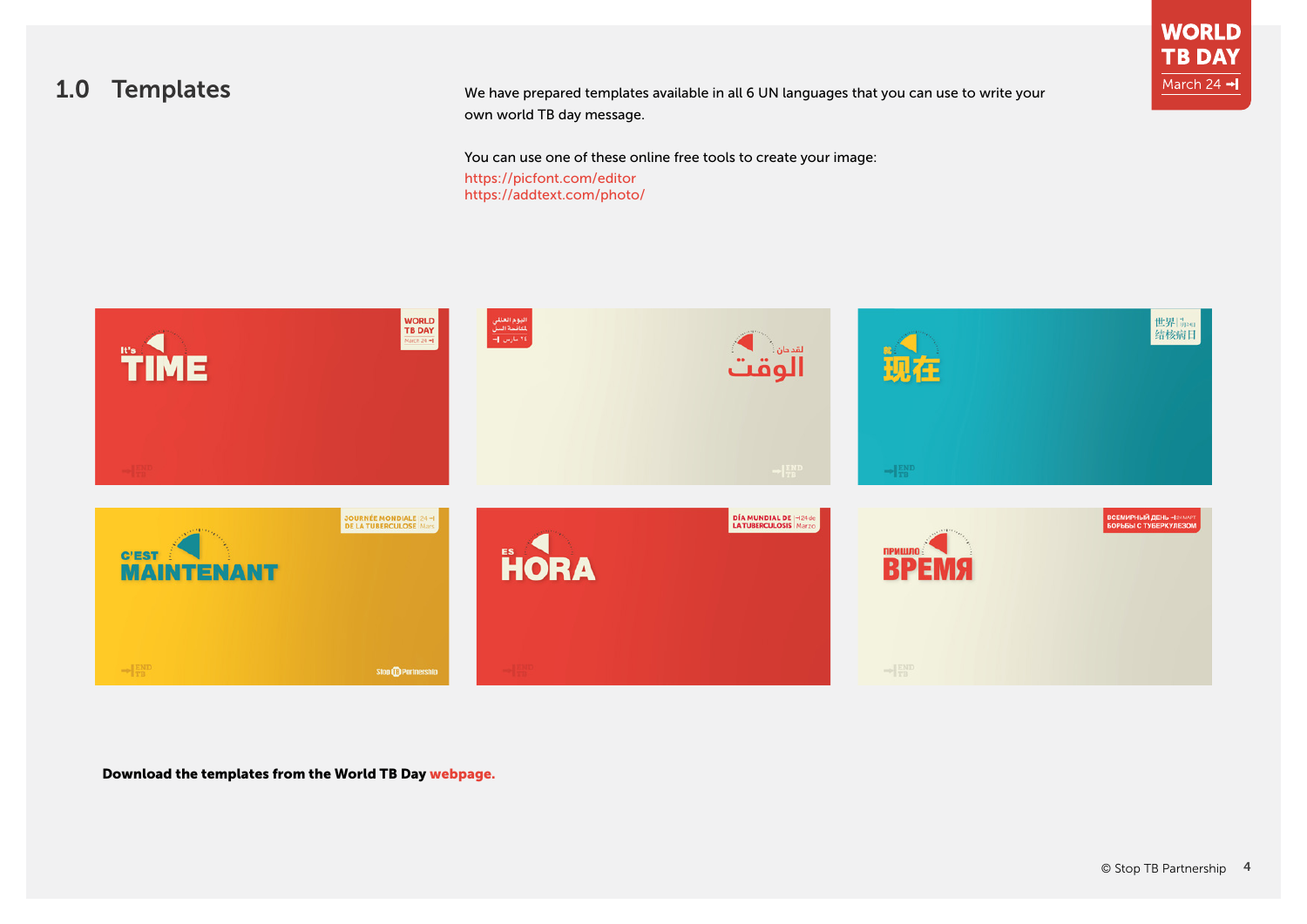<span id="page-3-0"></span>1.0 Templates We have prepared templates available in all 6 UN languages that you can use to write your own world TB day message.

You can use one of these online free tools to create your image:

[https://picfont.com/editor](https://picfont.com/editor
) <https://addtext.com/photo/>



Download the templates from the World TB Day [webpage.](http://stoptb.org/events/world_tb_day/2020/materials.asp)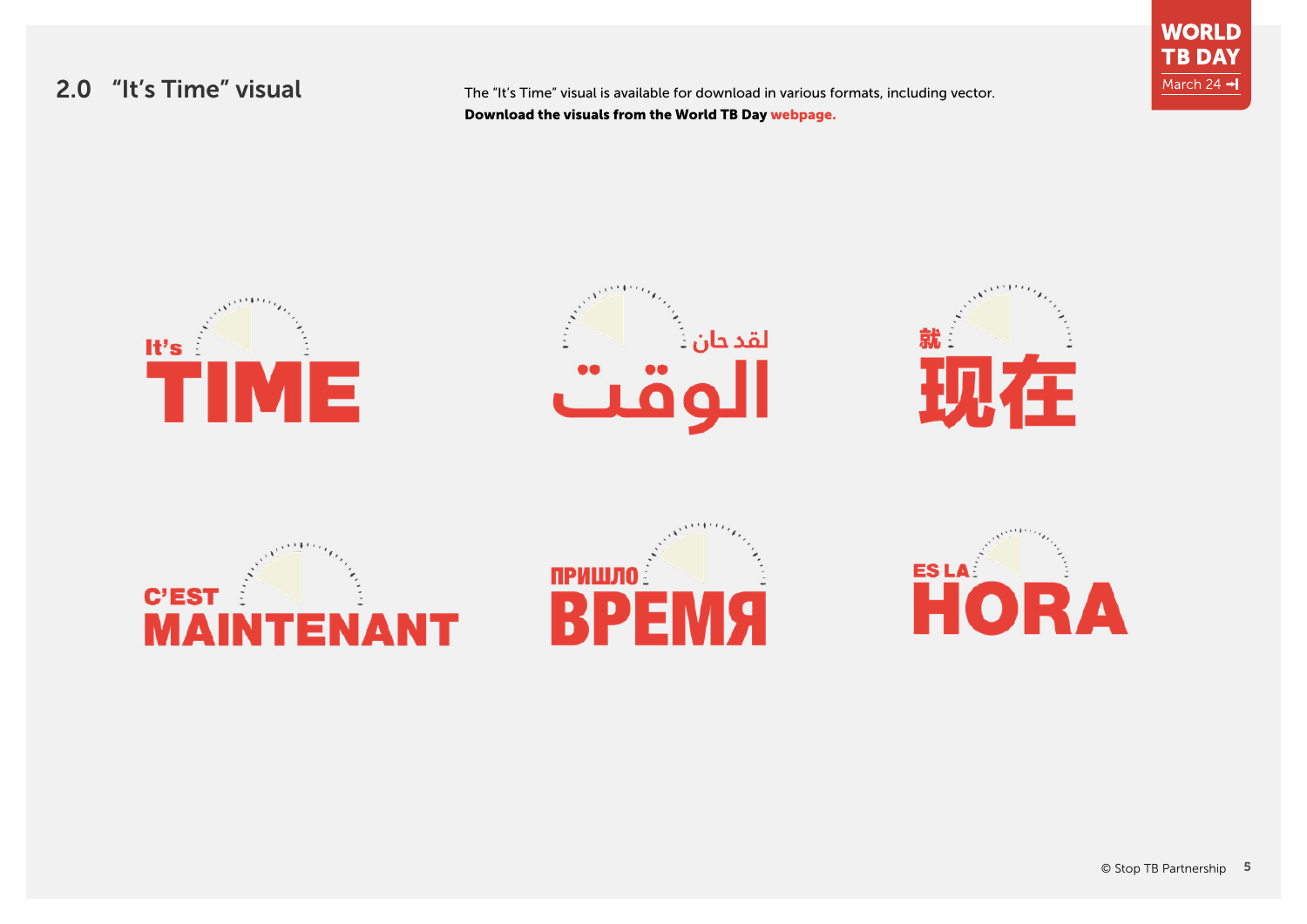2.0 "It's Time" visual The "It's Time" visual is available for download in various formats, including vector. Download the visuals from the World TB Day [webpage](http://stoptb.org/events/world_tb_day/2020/materials.asp).



**WORLD TB DAY** March 24 -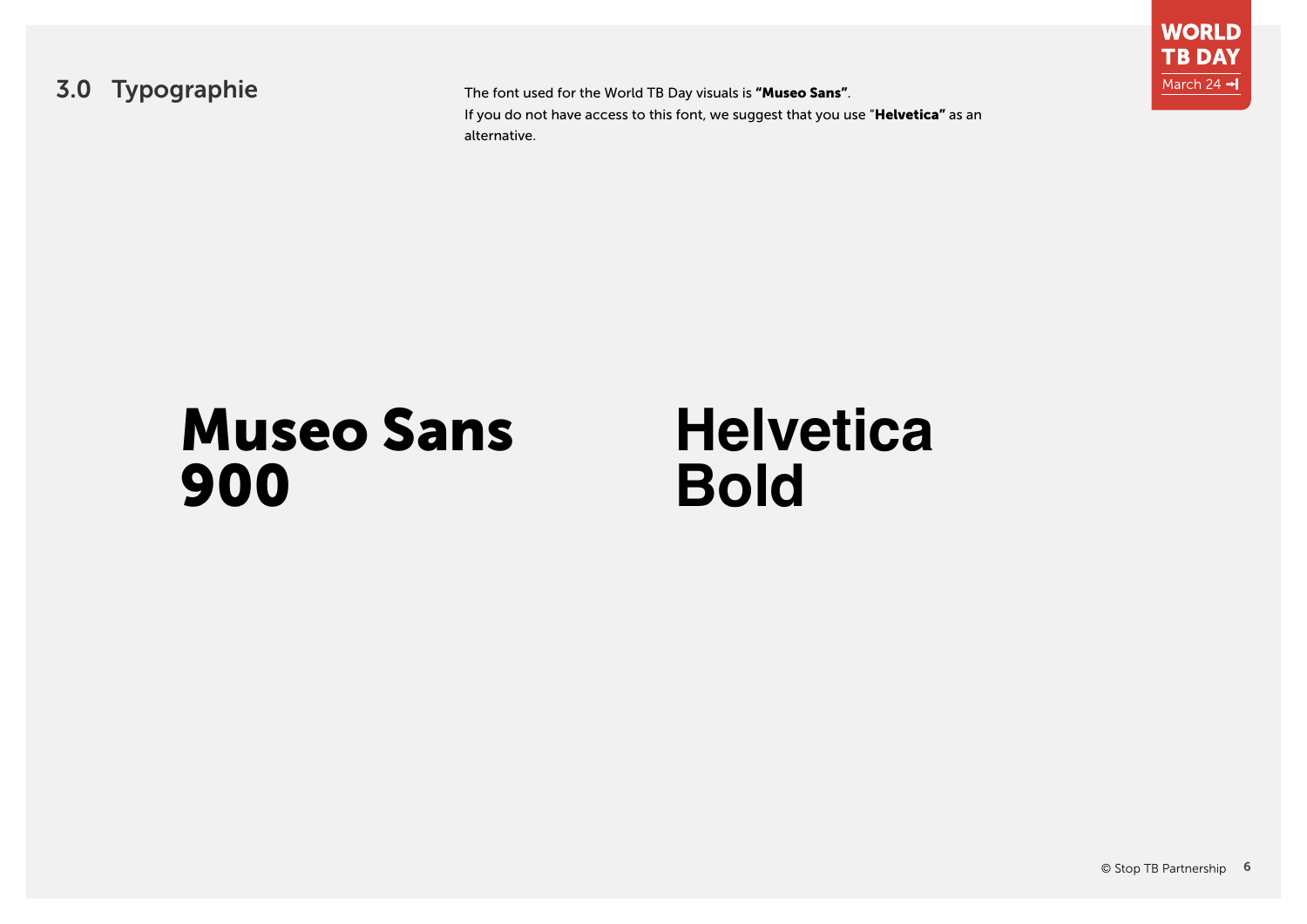

3.0 Typographie The font used for the World TB Day visuals is "Museo Sans". If you do not have access to this font, we suggest that you use "**Helvetica"** as an alternative.



# Museo Sans **Helvetica**

# 900 **Bold**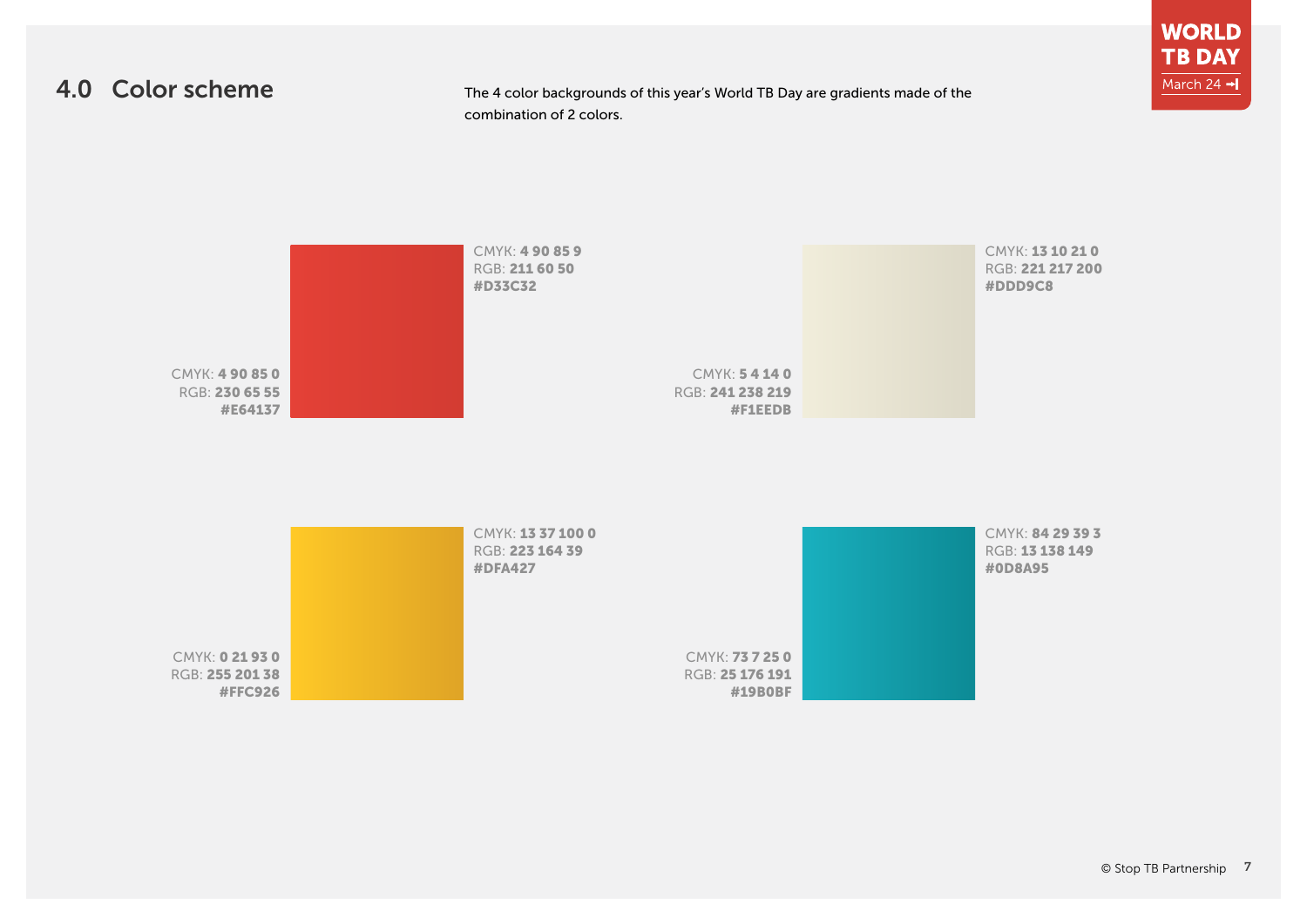## 4.0 Color scheme

The 4 color backgrounds of this year's World TB Day are gradients made of the combination of 2 colors.

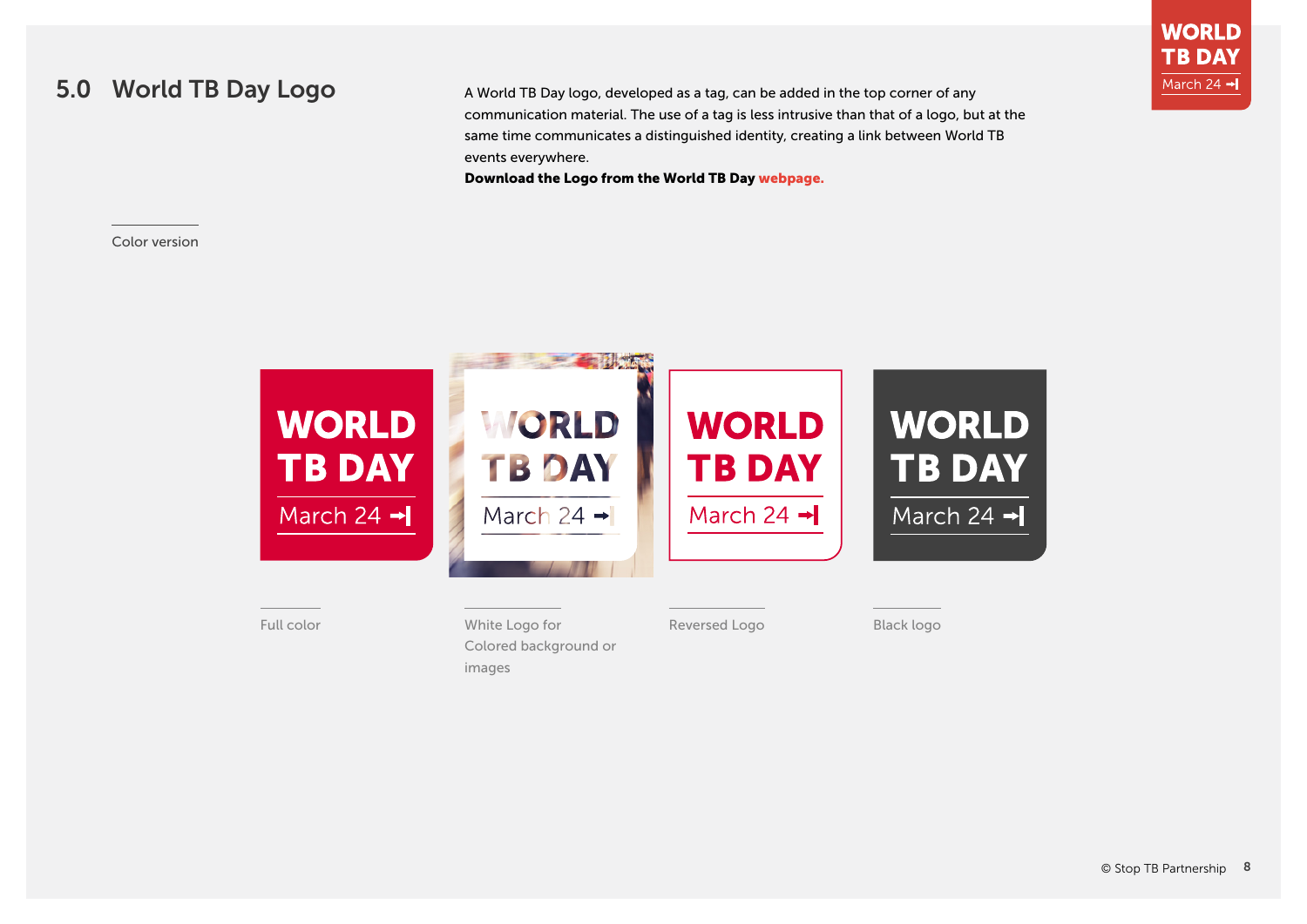### <span id="page-7-0"></span>5.0 World TB Day Logo

A World TB Day logo, developed as a tag, can be added in the top corner of any communication material. The use of a tag is less intrusive than that of a logo, but at the same time communicates a distinguished identity, creating a link between World TB events everywhere.

Download the Logo from the World TB Day [webpage](http://stoptb.org/events/world_tb_day/2020/materials.asp).

#### Color version



#### Full color **Example 2018** White Logo for **Black logo Black logo** Black logo Colored background or images

Reversed Logo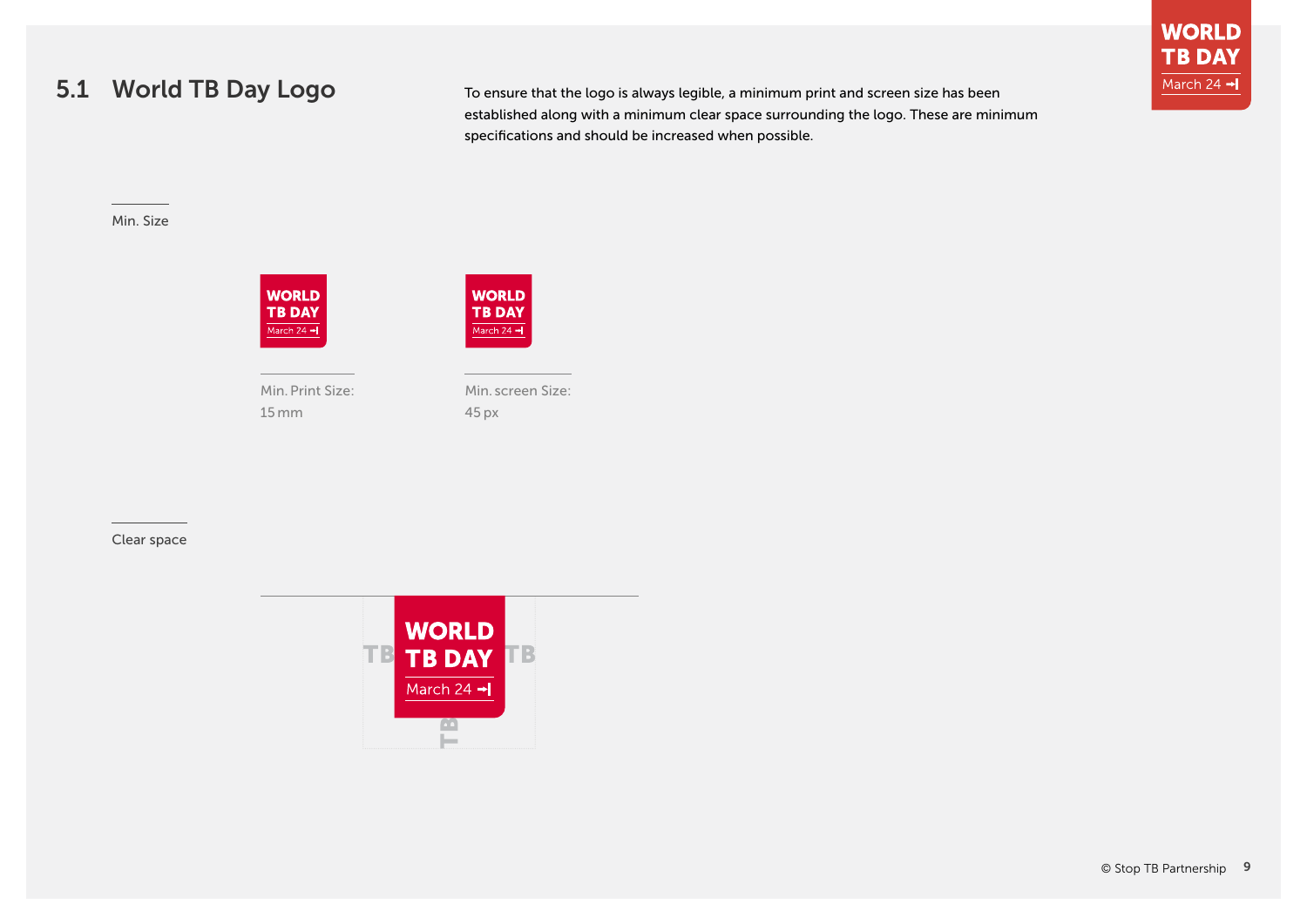# 5.1 World TB Day Logo

To ensure that the logo is always legible, a minimum print and screen size has been established along with a minimum clear space surrounding the logo. These are minimum specifications and should be increased when possible.

#### Min. Size





Min. Print Size: 15 mm

Min. screen Size: 45 px

#### Clear space

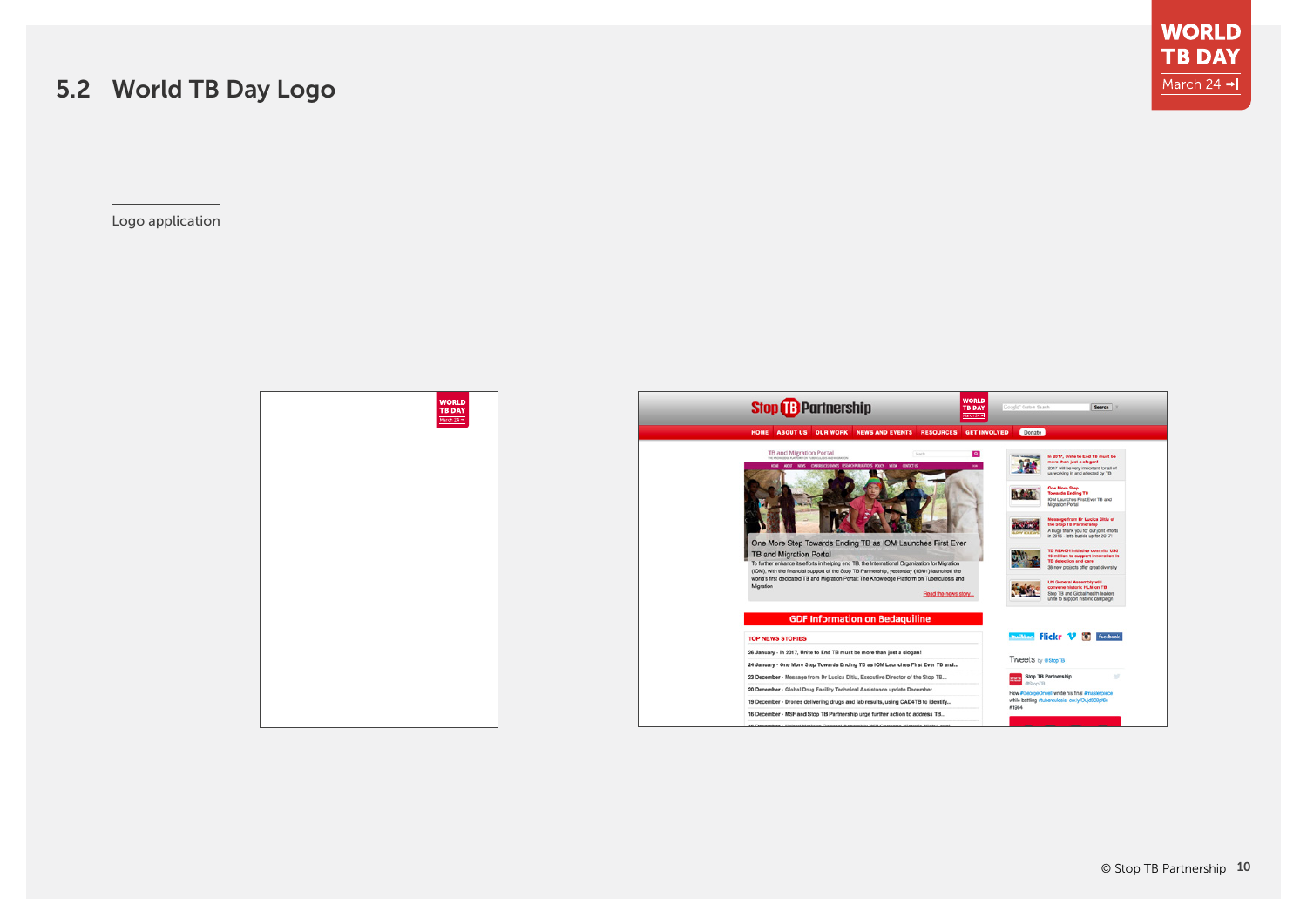# 5.2 World TB Day Logo

Logo application



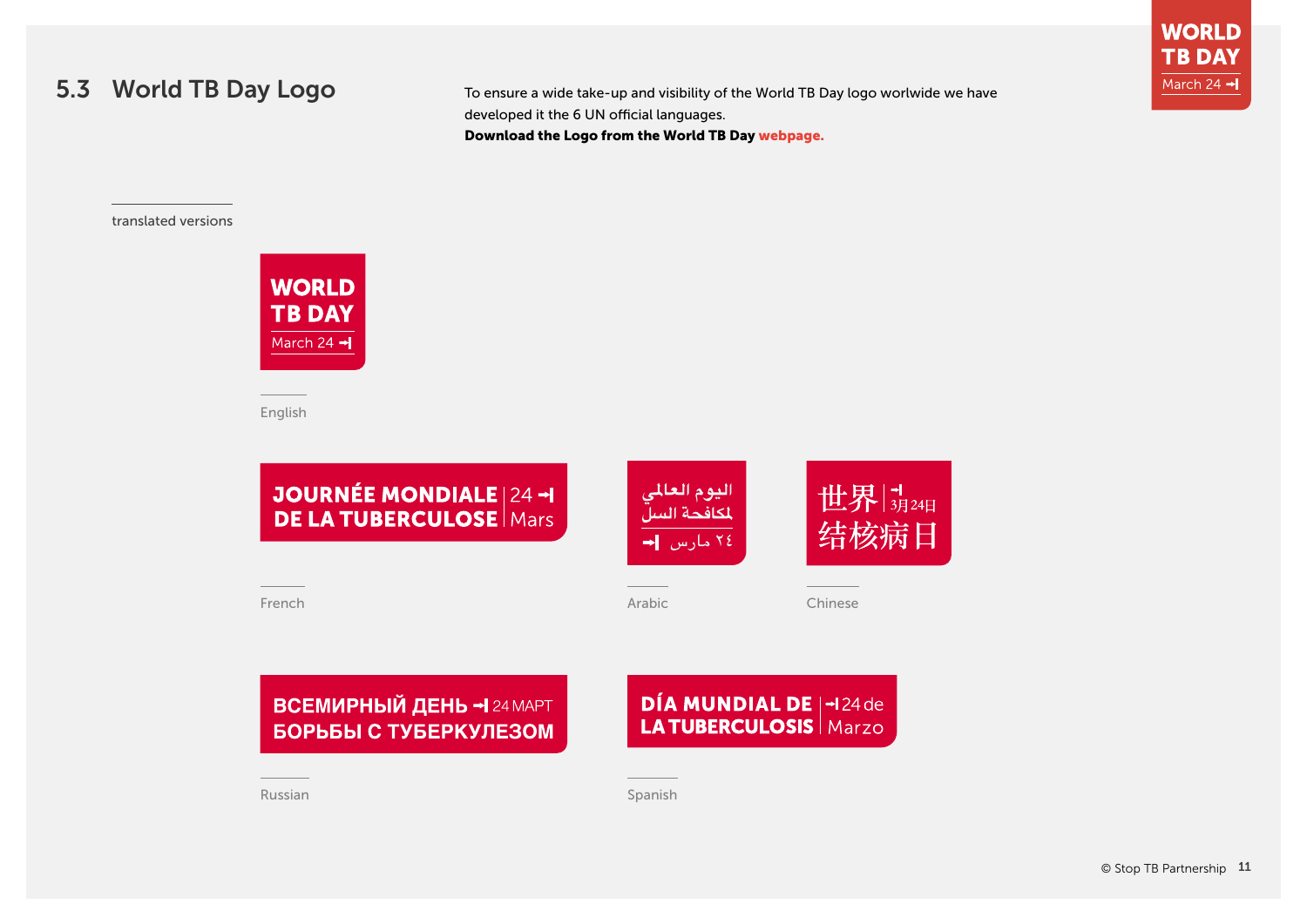## 5.3 World TB Day Logo

To ensure a wide take-up and visibility of the World TB Day logo worlwide we have developed it the 6 UN official languages. Download the Logo from the World TB Day [webpage](http://stoptb.org/events/world_tb_day/2020/materials.asp).

translated versions



English



French

Arabic Chinese

# **ВСЕМИРНЫЙ ДЕНЬ - 24 МАРТ** БОРЬБЫ С ТУБЕРКУЛЕЗОМ

# **DÍA MUNDIAL DE | -124 de LA TUBERCULOSIS | Marzo**

Russian Spanish Spanish Spanish Spanish Spanish Spanish Spanish Spanish Spanish Spanish Spanish Spanish Spanish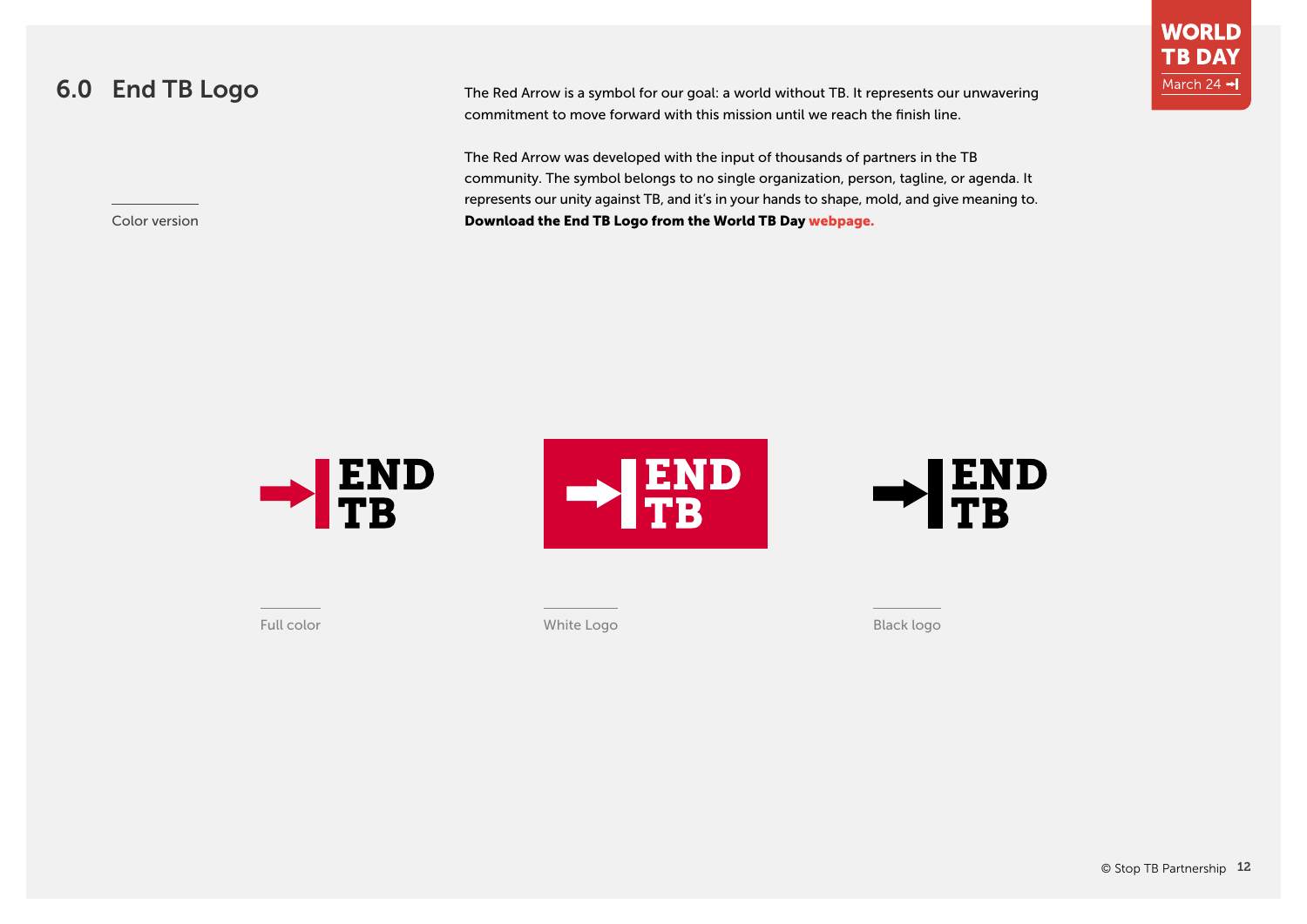# <span id="page-11-0"></span>6.0 End TB Logo

Color version

The Red Arrow is a symbol for our goal: a world without TB. It represents our unwavering commitment to move forward with this mission until we reach the finish line.

The Red Arrow was developed with the input of thousands of partners in the TB community. The symbol belongs to no single organization, person, tagline, or agenda. It represents our unity against TB, and it's in your hands to shape, mold, and give meaning to. Download the End TB Logo from the World TB Day [webpage.](http://stoptb.org/events/world_tb_day/2020/materials.asp)



Full color White Logo Black logo

**WORLD TB DAY** March 24 -